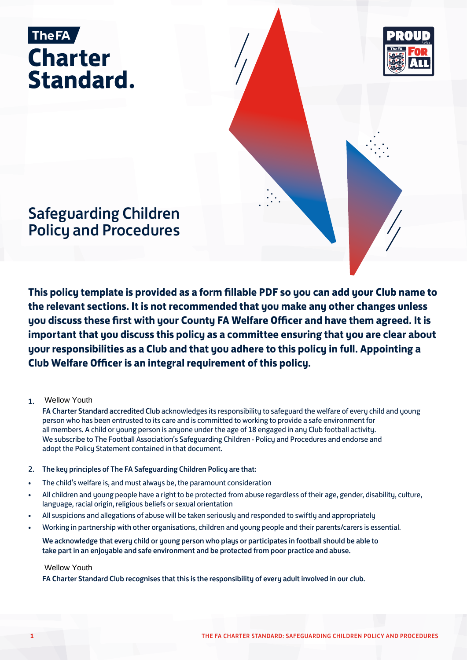



# Safeguarding Children Policy and Procedures

**This policy template is provided as a form fillable PDF so you can add your Club name to the relevant sections. It is not recommended that you make any other changes unless you discuss these first with your County FA Welfare Officer and have them agreed. It is important that you discuss this policy as a committee ensuring that you are clear about your responsibilities as a Club and that you adhere to this policy in full. Appointing a Club Welfare Officer is an integral requirement of this policy.**

#### 1. Wellow Youth

FA Charter Standard accredited Club acknowledges its responsibility to safeguard the welfare of every child and young person who has been entrusted to its care and is committed to working to provide a safe environment for all members. A child or young person is anyone under the age of 18 engaged in any Club football activity. We subscribe to The Football Association's Safeguarding Children - Policy and Procedures and endorse and adopt the Policy Statement contained in that document.

### 2. The key principles of The FA Safeguarding Children Policy are that:

- The child's welfare is, and must always be, the paramount consideration
- All children and young people have a right to be protected from abuse regardless of their age, gender, disability, culture, language, racial origin, religious beliefs or sexual orientation
- All suspicions and allegations of abuse will be taken seriously and responded to swiftly and appropriately
- Working in partnership with other organisations, children and young people and their parents/carers is essential.

We acknowledge that every child or young person who plays or participates in football should be able to take part in an enjoyable and safe environment and be protected from poor practice and abuse.

### Wellow Youth

FA Charter Standard Club recognises that this is the responsibility of every adult involved in our club.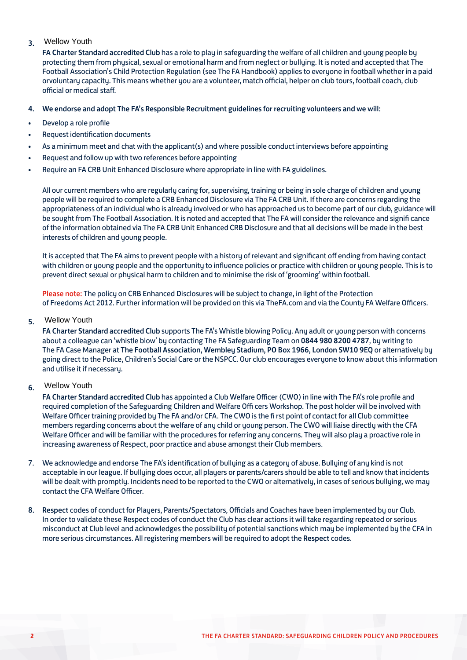### 3. Wellow Youth

FA Charter Standard accredited Club has a role to play in safeguarding the welfare of all children and young people by protecting them from physical, sexual or emotional harm and from neglect or bullying. It is noted and accepted that The Football Association's Child Protection Regulation (see The FA Handbook) applies to everyone in football whether in a paid orvoluntary capacity. This means whether you are a volunteer, match official, helper on club tours, football coach, club official or medical staff.

### 4. We endorse and adopt The FA's Responsible Recruitment guidelines for recruiting volunteers and we will:

- Develop a role profile
- Request identification documents
- As a minimum meet and chat with the applicant(s) and where possible conduct interviews before appointing
- Request and follow up with two references before appointing
- Require an FA CRB Unit Enhanced Disclosure where appropriate in line with FA guidelines.

All our current members who are regularly caring for, supervising, training or being in sole charge of children and young people will be required to complete a CRB Enhanced Disclosure via The FA CRB Unit. If there are concerns regarding the appropriateness of an individual who is already involved or who has approached us to become part of our club, guidance will be sought from The Football Association. It is noted and accepted that The FA will consider the relevance and signifi cance of the information obtained via The FA CRB Unit Enhanced CRB Disclosure and that all decisions will be made in the best interests of children and young people.

It is accepted that The FA aims to prevent people with a history of relevant and significant off ending from having contact with children or young people and the opportunity to influence policies or practice with children or young people. This is to prevent direct sexual or physical harm to children and to minimise the risk of 'grooming' within football.

Please note: The policy on CRB Enhanced Disclosures will be subject to change, in light of the Protection of Freedoms Act 2012. Further information will be provided on this via TheFA.com and via the County FA Welfare Officers.

#### 5. Wellow Youth

FA Charter Standard accredited Club supports The FA's Whistle blowing Policy. Any adult or young person with concerns about a colleague can 'whistle blow' by contacting The FA Safeguarding Team on 0844 980 8200 4787, by writing to The FA Case Manager at The Football Association, Wembley Stadium, PO Box 1966, London SW10 9EQ or alternatively by going direct to the Police, Children's Social Care or the NSPCC. Our club encourages everyone to know about this information and utilise it if necessary.

#### 6. Wellow Youth

FA Charter Standard accredited Club has appointed a Club Welfare Officer (CWO) in line with The FA's role profile and required completion of the Safeguarding Children and Welfare Offi cers Workshop. The post holder will be involved with Welfare Officer training provided by The FA and/or CFA. The CWO is the fi rst point of contact for all Club committee members regarding concerns about the welfare of any child or young person. The CWO will liaise directly with the CFA Welfare Officer and will be familiar with the procedures for referring any concerns. They will also play a proactive role in increasing awareness of Respect, poor practice and abuse amongst their Club members.

- 7. We acknowledge and endorse The FA's identification of bullying as a category of abuse. Bullying of any kind is not acceptable in our league. If bullying does occur, all players or parents/carers should be able to tell and know that incidents will be dealt with promptly. Incidents need to be reported to the CWO or alternatively, in cases of serious bullying, we may contact the CFA Welfare Officer.
- 8. Respect codes of conduct for Players, Parents/Spectators, Officials and Coaches have been implemented by our Club. In order to validate these Respect codes of conduct the Club has clear actions it will take regarding repeated or serious misconduct at Club level and acknowledges the possibility of potential sanctions which may be implemented by the CFA in more serious circumstances. All registering members will be required to adopt the Respect codes.